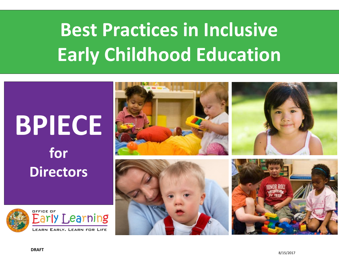# **Best Practices in Inclusive Early Childhood Education**

# **BPIECE for Directors**



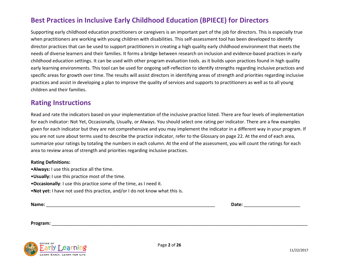# **Best Practices in Inclusive Early Childhood Education (BPIECE) for Directors**

Supporting early childhood education practitioners or caregivers is an important part of the job for directors. This is especially true when practitioners are working with young children with disabilities. This self-assessment tool has been developed to identify director practices that can be used to support practitioners in creating a high quality early childhood environment that meets the needs of diverse learners and their families. It forms a bridge between research on inclusion and evidence-based practices in early childhood education settings. It can be used with other program evaluation tools, as it builds upon practices found in high quality early learning environments. This tool can be used for ongoing self-reflection to identify strengths regarding inclusive practices and specific areas for growth over time. The results will assist directors in identifying areas of strength and priorities regarding inclusive practices and assist in developing a plan to improve the quality of services and supports to practitioners as well as to all young children and their families.

## **Rating Instructions**

Read and rate the indicators based on your implementation of the inclusive practice listed. There are four levels of implementation for each indicator: Not Yet, Occasionally, Usually, or Always. You should select one rating per indicator. There are a few examples given for each indicator but they are not comprehensive and you may implement the indicator in a different way in your program. If you are not sure about terms used to describe the practice indicator, refer to the Glossary on page 22. At the end of each area, summarize your ratings by totaling the numbers in each column. At the end of the assessment, you will count the ratings for each area to review areas of strength and priorities regarding inclusive practices.

### **Rating Definitions:**

- •**Always:** I use this practice all the time.
- •**Usually:** I use this practice most of the time.
- •**Occasionally**: I use this practice some of the time, as I need it.
- •**Not yet:** I have not used this practice, and/or I do not know what this is.

**Name: Date: Date: Contract and Contract and Contract and Contract and Contract and Contract and Contract and Contract and Contract and Contract and Contract and Contract and Contract and Contract and Contract and Co** 

**Program:** \_\_\_\_\_\_\_\_\_\_\_\_\_\_\_\_\_\_\_\_\_\_\_\_\_\_\_\_\_\_\_\_\_\_\_\_\_\_\_\_\_\_\_\_\_\_\_\_\_\_\_\_\_\_\_\_\_\_\_\_\_\_\_\_\_\_\_\_\_\_\_\_\_\_\_\_\_\_\_\_\_\_\_\_\_\_\_\_\_\_\_\_\_\_\_\_\_\_\_\_

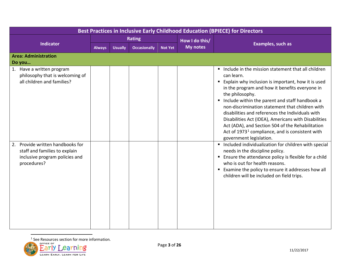<span id="page-2-0"></span>

| Best Practices in Inclusive Early Childhood Education (BPIECE) for Directors                                       |               |                |                     |                |                 |                                                                                                                                                                                                                                                                                                                                                                                                                                                                                                                                                                              |  |  |  |
|--------------------------------------------------------------------------------------------------------------------|---------------|----------------|---------------------|----------------|-----------------|------------------------------------------------------------------------------------------------------------------------------------------------------------------------------------------------------------------------------------------------------------------------------------------------------------------------------------------------------------------------------------------------------------------------------------------------------------------------------------------------------------------------------------------------------------------------------|--|--|--|
|                                                                                                                    | <b>Rating</b> |                |                     |                | How I do this/  |                                                                                                                                                                                                                                                                                                                                                                                                                                                                                                                                                                              |  |  |  |
| <b>Indicator</b>                                                                                                   | <b>Always</b> | <b>Usually</b> | <b>Occasionally</b> | <b>Not Yet</b> | <b>My notes</b> | <b>Examples, such as</b>                                                                                                                                                                                                                                                                                                                                                                                                                                                                                                                                                     |  |  |  |
| <b>Area: Administration</b><br>Do you                                                                              |               |                |                     |                |                 |                                                                                                                                                                                                                                                                                                                                                                                                                                                                                                                                                                              |  |  |  |
| 1. Have a written program<br>philosophy that is welcoming of<br>all children and families?                         |               |                |                     |                |                 | Include in the mission statement that all children<br>can learn.<br>Explain why inclusion is important, how it is used<br>in the program and how it benefits everyone in<br>the philosophy.<br>Include within the parent and staff handbook a<br>$\blacksquare$<br>non-discrimination statement that children with<br>disabilities and references the Individuals with<br>Disabilities Act (IDEA), Americans with Disabilities<br>Act (ADA), and Section 504 of the Rehabilitation<br>Act of 1973 <sup>1</sup> compliance, and is consistent with<br>government legislation. |  |  |  |
| 2. Provide written handbooks for<br>staff and families to explain<br>inclusive program policies and<br>procedures? |               |                |                     |                |                 | Included individualization for children with special<br>$\blacksquare$<br>needs in the discipline policy.<br><b>Ensure the attendance policy is flexible for a child</b><br>who is out for health reasons.<br>Examine the policy to ensure it addresses how all<br>children will be included on field trips.                                                                                                                                                                                                                                                                 |  |  |  |

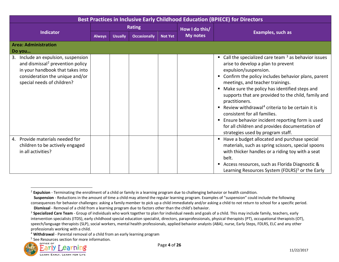<span id="page-3-3"></span><span id="page-3-2"></span><span id="page-3-1"></span><span id="page-3-0"></span>

| Best Practices in Inclusive Early Childhood Education (BPIECE) for Directors                                                                                                             |               |                |                     |                |                 |                                                                                                                                                                                                                                                                                                                                                                                                                                                                                                                                                                                                   |  |  |
|------------------------------------------------------------------------------------------------------------------------------------------------------------------------------------------|---------------|----------------|---------------------|----------------|-----------------|---------------------------------------------------------------------------------------------------------------------------------------------------------------------------------------------------------------------------------------------------------------------------------------------------------------------------------------------------------------------------------------------------------------------------------------------------------------------------------------------------------------------------------------------------------------------------------------------------|--|--|
|                                                                                                                                                                                          |               |                | <b>Rating</b>       |                | How I do this/  |                                                                                                                                                                                                                                                                                                                                                                                                                                                                                                                                                                                                   |  |  |
| <b>Indicator</b>                                                                                                                                                                         | <b>Always</b> | <b>Usually</b> | <b>Occasionally</b> | <b>Not Yet</b> | <b>My notes</b> | <b>Examples, such as</b>                                                                                                                                                                                                                                                                                                                                                                                                                                                                                                                                                                          |  |  |
| <b>Area: Administration</b><br>Do you                                                                                                                                                    |               |                |                     |                |                 |                                                                                                                                                                                                                                                                                                                                                                                                                                                                                                                                                                                                   |  |  |
| 3. Include an expulsion, suspension<br>and dismissal <sup>2</sup> prevention policy<br>in your handbook that takes into<br>consideration the unique and/or<br>special needs of children? |               |                |                     |                |                 | Call the specialized care team $3$ as behavior issues<br>arise to develop a plan to prevent<br>expulsion/suspension.<br>Confirm the policy includes behavior plans, parent<br>meetings, and teacher trainings.<br>Make sure the policy has identified steps and<br>п<br>supports that are provided to the child, family and<br>practitioners.<br>Review withdrawal <sup>4</sup> criteria to be certain it is<br>п.<br>consistent for all families.<br>Ensure behavior incident reporting form is used<br>п<br>for all children and provides documentation of<br>strategies used by program staff. |  |  |
| Provide materials needed for<br>4.<br>children to be actively engaged<br>in all activities?                                                                                              |               |                |                     |                |                 | Have a budget allocated and purchase special<br>materials, such as spring scissors, special spoons<br>with thicker handles or a riding toy with a seat<br>belt.<br>Access resources, such as Florida Diagnostic &<br>п<br>Learning Resources System (FDLRS) <sup>5</sup> or the Early                                                                                                                                                                                                                                                                                                             |  |  |

<sup>&</sup>lt;sup>5</sup> See Resources section for more information.



<sup>2</sup> **Expulsion** - Terminating the enrollment of a child or family in a learning program due to challenging behavior or health condition.

**Suspension** - Reductions in the amount of time a child may attend the regular learning program. Examples of "suspension" could include the following consequences for behavior challenges: asking a family member to pick up a child immediately and/or asking a child to not return to school for a specific period. **Dismissal** - Removal of a child from a learning program due to factors other than the child's behavior.

<sup>&</sup>lt;sup>3</sup> Specialized Care Team - Group of individuals who work together to plan for individual needs and goals of a child. This may include family, teachers, early intervention specialists (ITDS), early childhood special education specialist, directors, paraprofessionals, physical therapists (PT), occupational therapists (OT), speech/language therapists (SLP), social workers, mental health professionals, applied behavior analysts (ABA), nurse, Early Steps, FDLRS, ELC and any other professionals working with a child.

<sup>4</sup> **Withdrawal** - Parental removal of a child from an early learning program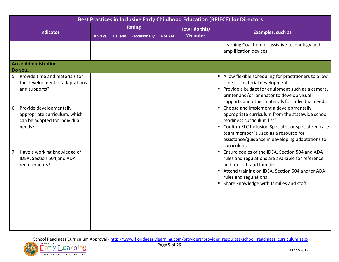<span id="page-4-0"></span>

| Best Practices in Inclusive Early Childhood Education (BPIECE) for Directors                           |               |                |                     |                |                 |                                                                                                                                                                                                                                                                                                                |  |  |  |
|--------------------------------------------------------------------------------------------------------|---------------|----------------|---------------------|----------------|-----------------|----------------------------------------------------------------------------------------------------------------------------------------------------------------------------------------------------------------------------------------------------------------------------------------------------------------|--|--|--|
|                                                                                                        | <b>Rating</b> |                |                     |                | How I do this/  |                                                                                                                                                                                                                                                                                                                |  |  |  |
| <b>Indicator</b>                                                                                       | <b>Always</b> | <b>Usually</b> | <b>Occasionally</b> | <b>Not Yet</b> | <b>My notes</b> | <b>Examples, such as</b>                                                                                                                                                                                                                                                                                       |  |  |  |
|                                                                                                        |               |                |                     |                |                 | Learning Coalition for assistive technology and<br>amplification devices.                                                                                                                                                                                                                                      |  |  |  |
| <b>Area: Administration</b>                                                                            |               |                |                     |                |                 |                                                                                                                                                                                                                                                                                                                |  |  |  |
| Do you                                                                                                 |               |                |                     |                |                 |                                                                                                                                                                                                                                                                                                                |  |  |  |
| 5. Provide time and materials for<br>the development of adaptations<br>and supports?                   |               |                |                     |                |                 | Allow flexible scheduling for practitioners to allow<br>time for material development.<br>Provide a budget for equipment such as a camera,<br>printer and/or laminator to develop visual<br>supports and other materials for individual needs.                                                                 |  |  |  |
| 6. Provide developmentally<br>appropriate curriculum, which<br>can be adapted for individual<br>needs? |               |                |                     |                |                 | • Choose and implement a developmentally<br>appropriate curriculum from the statewide school<br>readiness curriculum list <sup>6</sup> .<br>" Confirm ELC Inclusion Specialist or specialized care<br>team member is used as a resource for<br>assistance/guidance in developing adaptations to<br>curriculum. |  |  |  |
| 7. Have a working knowledge of<br>IDEA, Section 504, and ADA<br>requirements?                          |               |                |                     |                |                 | <b>Ensure copies of the IDEA, Section 504 and ADA</b><br>rules and regulations are available for reference<br>and for staff and families.<br>Attend training on IDEA, Section 504 and/or ADA<br>rules and regulations.<br>• Share knowledge with families and staff.                                           |  |  |  |

<sup>6</sup> School Readiness Curriculum Approval - [http://www.floridaearlylearning.com/providers/provider\\_resources/school\\_readiness\\_curriculum.aspx](http://www.floridaearlylearning.com/providers/provider_resources/school_readiness_curriculum.aspx)

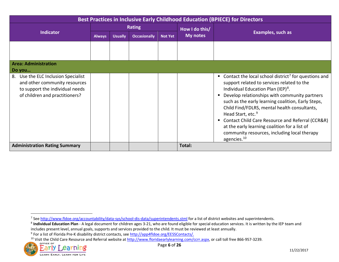<span id="page-5-3"></span><span id="page-5-2"></span><span id="page-5-1"></span><span id="page-5-0"></span>

| Best Practices in Inclusive Early Childhood Education (BPIECE) for Directors                                                              |               |                |                     |                |                |                                                                                                                                                                                                                                                                                                                                                                                                                                                                                                                                                         |  |  |  |
|-------------------------------------------------------------------------------------------------------------------------------------------|---------------|----------------|---------------------|----------------|----------------|---------------------------------------------------------------------------------------------------------------------------------------------------------------------------------------------------------------------------------------------------------------------------------------------------------------------------------------------------------------------------------------------------------------------------------------------------------------------------------------------------------------------------------------------------------|--|--|--|
|                                                                                                                                           | <b>Rating</b> |                |                     |                | How I do this/ |                                                                                                                                                                                                                                                                                                                                                                                                                                                                                                                                                         |  |  |  |
| <b>Indicator</b>                                                                                                                          | <b>Always</b> | <b>Usually</b> | <b>Occasionally</b> | <b>Not Yet</b> | My notes       | Examples, such as                                                                                                                                                                                                                                                                                                                                                                                                                                                                                                                                       |  |  |  |
|                                                                                                                                           |               |                |                     |                |                |                                                                                                                                                                                                                                                                                                                                                                                                                                                                                                                                                         |  |  |  |
| <b>Area: Administration</b><br>Do you                                                                                                     |               |                |                     |                |                |                                                                                                                                                                                                                                                                                                                                                                                                                                                                                                                                                         |  |  |  |
| 8. Use the ELC Inclusion Specialist<br>and other community resources<br>to support the individual needs<br>of children and practitioners? |               |                |                     |                |                | Contact the local school district <sup>7</sup> for questions and<br>٠<br>support related to services related to the<br>Individual Education Plan (IEP) <sup>8</sup> .<br>Develop relationships with community partners<br>п<br>such as the early learning coalition, Early Steps,<br>Child Find/FDLRS, mental health consultants,<br>Head Start, etc. <sup>9</sup><br>Contact Child Care Resource and Referral (CCR&R)<br>٠<br>at the early learning coalition for a list of<br>community resources, including local therapy<br>agencies. <sup>10</sup> |  |  |  |
| <b>Administration Rating Summary</b>                                                                                                      |               |                |                     |                | Total:         |                                                                                                                                                                                                                                                                                                                                                                                                                                                                                                                                                         |  |  |  |

<sup>&</sup>lt;sup>10</sup> Visit the Child Care Resource and Referral website at  $\frac{http://www.floridaearlylearning.com/ccrr.aspx, or call toll free 866-957-3239.$ 



l

<sup>&</sup>lt;sup>7</sup> See http://www.fldoe.org/accountability/data-sys/school-dis-data/superintendents.stml for a list of district websites and superintendents.<br><sup>8</sup> Individual Education Plan - A legal document for children ages 3-21, who ar includes present level, annual goals, supports and services provided to the child. It must be reviewed at least annually.

<sup>&</sup>lt;sup>9</sup> For a list of Florida Pre-K disability district contacts, se[e http://app4fldoe.org/EESSContacts/.](http://app4fldoe.org/EESSContacts/)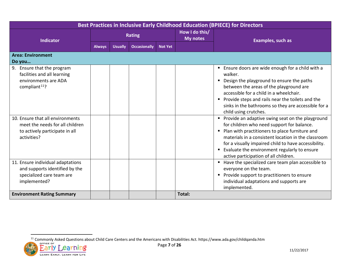<span id="page-6-0"></span>

| Best Practices in Inclusive Early Childhood Education (BPIECE) for Directors                                         |               |                |                     |                |                                   |                                                                                                                                                                                                                                                                                                                                                                                 |  |  |  |
|----------------------------------------------------------------------------------------------------------------------|---------------|----------------|---------------------|----------------|-----------------------------------|---------------------------------------------------------------------------------------------------------------------------------------------------------------------------------------------------------------------------------------------------------------------------------------------------------------------------------------------------------------------------------|--|--|--|
| <b>Indicator</b>                                                                                                     |               |                | <b>Rating</b>       |                | How I do this/<br><b>My notes</b> | Examples, such as                                                                                                                                                                                                                                                                                                                                                               |  |  |  |
|                                                                                                                      | <b>Always</b> | <b>Usually</b> | <b>Occasionally</b> | <b>Not Yet</b> |                                   |                                                                                                                                                                                                                                                                                                                                                                                 |  |  |  |
| <b>Area: Environment</b>                                                                                             |               |                |                     |                |                                   |                                                                                                                                                                                                                                                                                                                                                                                 |  |  |  |
| Do you                                                                                                               |               |                |                     |                |                                   |                                                                                                                                                                                                                                                                                                                                                                                 |  |  |  |
| 9. Ensure that the program<br>facilities and all learning<br>environments are ADA<br>compliant <sup>11</sup> ?       |               |                |                     |                |                                   | ■ Ensure doors are wide enough for a child with a<br>walker.<br>Design the playground to ensure the paths<br>$\blacksquare$<br>between the areas of the playground are<br>accessible for a child in a wheelchair.<br>Provide steps and rails near the toilets and the<br>п<br>sinks in the bathrooms so they are accessible for a<br>child using crutches.                      |  |  |  |
| 10. Ensure that all environments<br>meet the needs for all children<br>to actively participate in all<br>activities? |               |                |                     |                |                                   | Provide an adaptive swing seat on the playground<br>$\blacksquare$<br>for children who need support for balance.<br>Plan with practitioners to place furniture and<br>materials in a consistent location in the classroom<br>for a visually impaired child to have accessibility.<br>Evaluate the environment regularly to ensure<br>п<br>active participation of all children. |  |  |  |
| 11. Ensure individual adaptations<br>and supports identified by the<br>specialized care team are<br>implemented?     |               |                |                     |                |                                   | Have the specialized care team plan accessible to<br>$\blacksquare$<br>everyone on the team.<br>Provide support to practitioners to ensure<br>individual adaptations and supports are<br>implemented.                                                                                                                                                                           |  |  |  |
| <b>Environment Rating Summary</b>                                                                                    |               |                |                     |                | Total:                            |                                                                                                                                                                                                                                                                                                                                                                                 |  |  |  |

<sup>&</sup>lt;sup>11</sup> Commonly Asked Questions about Child Care Centers and the Americans with Disabilities Act. https://www.ada.gov/childqanda.htm

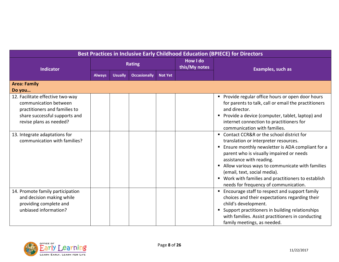| Best Practices in Inclusive Early Childhood Education (BPIECE) for Directors                                                                           |               |                |                     |                |                                  |                                                                                                                                                                                                                                                                                                                                                                                                      |  |  |
|--------------------------------------------------------------------------------------------------------------------------------------------------------|---------------|----------------|---------------------|----------------|----------------------------------|------------------------------------------------------------------------------------------------------------------------------------------------------------------------------------------------------------------------------------------------------------------------------------------------------------------------------------------------------------------------------------------------------|--|--|
| <b>Indicator</b>                                                                                                                                       | <b>Rating</b> |                |                     |                | <b>How I do</b><br>this/My notes | <b>Examples, such as</b>                                                                                                                                                                                                                                                                                                                                                                             |  |  |
|                                                                                                                                                        | <b>Always</b> | <b>Usually</b> | <b>Occasionally</b> | <b>Not Yet</b> |                                  |                                                                                                                                                                                                                                                                                                                                                                                                      |  |  |
| <b>Area: Family</b><br>Do you                                                                                                                          |               |                |                     |                |                                  |                                                                                                                                                                                                                                                                                                                                                                                                      |  |  |
| 12. Facilitate effective two-way<br>communication between<br>practitioners and families to<br>share successful supports and<br>revise plans as needed? |               |                |                     |                |                                  | Provide regular office hours or open door hours<br>for parents to talk, call or email the practitioners<br>and director.<br>Provide a device (computer, tablet, laptop) and<br>internet connection to practitioners for<br>communication with families.                                                                                                                                              |  |  |
| 13. Integrate adaptations for<br>communication with families?                                                                                          |               |                |                     |                |                                  | Contact CCR&R or the school district for<br>translation or interpreter resources.<br>Ensure monthly newsletter is ADA compliant for a<br>п.<br>parent who is visually impaired or needs<br>assistance with reading.<br>Allow various ways to communicate with families<br>(email, text, social media).<br>Work with families and practitioners to establish<br>needs for frequency of communication. |  |  |
| 14. Promote family participation<br>and decision making while<br>providing complete and<br>unbiased information?                                       |               |                |                     |                |                                  | Encourage staff to respect and support family<br>choices and their expectations regarding their<br>child's development.<br>Support practitioners in building relationships<br>with families. Assist practitioners in conducting<br>family meetings, as needed.                                                                                                                                       |  |  |

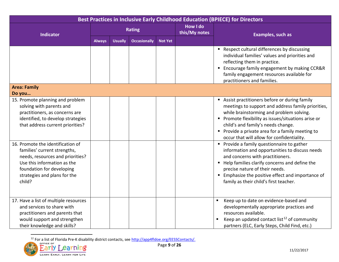<span id="page-8-0"></span>

| Best Practices in Inclusive Early Childhood Education (BPIECE) for Directors                                                                                                                                                                                                                                                                           |               |                |                     |                |                                  |                                                                                                                                                                                                                                                                                                                                                                                                                                                                                                                                                                    |  |  |
|--------------------------------------------------------------------------------------------------------------------------------------------------------------------------------------------------------------------------------------------------------------------------------------------------------------------------------------------------------|---------------|----------------|---------------------|----------------|----------------------------------|--------------------------------------------------------------------------------------------------------------------------------------------------------------------------------------------------------------------------------------------------------------------------------------------------------------------------------------------------------------------------------------------------------------------------------------------------------------------------------------------------------------------------------------------------------------------|--|--|
| <b>Indicator</b>                                                                                                                                                                                                                                                                                                                                       | <b>Rating</b> |                |                     |                | <b>How I do</b><br>this/My notes | Examples, such as                                                                                                                                                                                                                                                                                                                                                                                                                                                                                                                                                  |  |  |
|                                                                                                                                                                                                                                                                                                                                                        | <b>Always</b> | <b>Usually</b> | <b>Occasionally</b> | <b>Not Yet</b> |                                  |                                                                                                                                                                                                                                                                                                                                                                                                                                                                                                                                                                    |  |  |
|                                                                                                                                                                                                                                                                                                                                                        |               |                |                     |                |                                  | Respect cultural differences by discussing<br>individual families' values and priorities and<br>reflecting them in practice.<br>■ Encourage family engagement by making CCR&R<br>family engagement resources available for<br>practitioners and families.                                                                                                                                                                                                                                                                                                          |  |  |
| <b>Area: Family</b>                                                                                                                                                                                                                                                                                                                                    |               |                |                     |                |                                  |                                                                                                                                                                                                                                                                                                                                                                                                                                                                                                                                                                    |  |  |
| Do you<br>15. Promote planning and problem<br>solving with parents and<br>practitioners, as concerns are<br>identified, to develop strategies<br>that address current priorities?<br>16. Promote the identification of<br>families' current strengths,<br>needs, resources and priorities?<br>Use this information as the<br>foundation for developing |               |                |                     |                |                                  | Assist practitioners before or during family<br>meetings to support and address family priorities,<br>while brainstorming and problem solving.<br>• Promote flexibility as issues/situations arise or<br>child's and family's needs change.<br>Provide a private area for a family meeting to<br>occur that will allow for confidentiality.<br>Provide a family questionnaire to gather<br>information and opportunities to discuss needs<br>and concerns with practitioners.<br>■ Help families clarify concerns and define the<br>precise nature of their needs. |  |  |
| strategies and plans for the<br>child?                                                                                                                                                                                                                                                                                                                 |               |                |                     |                |                                  | <b>Emphasize the positive effect and importance of</b><br>family as their child's first teacher.<br>$\blacksquare$                                                                                                                                                                                                                                                                                                                                                                                                                                                 |  |  |
| 17. Have a list of multiple resources<br>and services to share with<br>practitioners and parents that<br>would support and strengthen<br>their knowledge and skills?                                                                                                                                                                                   |               |                |                     |                |                                  | Keep up to date on evidence-based and<br>developmentally appropriate practices and<br>resources available.<br>Keep an updated contact list <sup>12</sup> of community<br>partners (ELC, Early Steps, Child Find, etc.)                                                                                                                                                                                                                                                                                                                                             |  |  |

<sup>&</sup>lt;sup>12</sup> For a list of Florida Pre-K disability district contacts, see [http://app4fldoe.org/EESSContacts/.](http://app4fldoe.org/EESSContacts/)

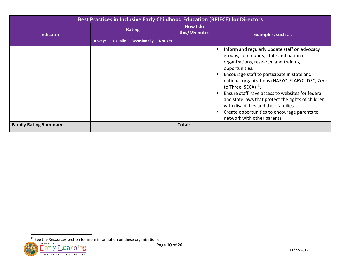<span id="page-9-0"></span>

| <b>Best Practices in Inclusive Early Childhood Education (BPIECE) for Directors</b> |               |                |                     |                |                           |                                                                                                                                                                                                                                                                                                                                                                                                                                                                                                                           |  |  |
|-------------------------------------------------------------------------------------|---------------|----------------|---------------------|----------------|---------------------------|---------------------------------------------------------------------------------------------------------------------------------------------------------------------------------------------------------------------------------------------------------------------------------------------------------------------------------------------------------------------------------------------------------------------------------------------------------------------------------------------------------------------------|--|--|
| <b>Indicator</b>                                                                    |               |                | <b>Rating</b>       |                | How I do<br>this/My notes | Examples, such as                                                                                                                                                                                                                                                                                                                                                                                                                                                                                                         |  |  |
|                                                                                     | <b>Always</b> | <b>Usually</b> | <b>Occasionally</b> | <b>Not Yet</b> |                           |                                                                                                                                                                                                                                                                                                                                                                                                                                                                                                                           |  |  |
|                                                                                     |               |                |                     |                |                           | Inform and regularly update staff on advocacy<br>groups, community, state and national<br>organizations, research, and training<br>opportunities.<br>Encourage staff to participate in state and<br>national organizations (NAEYC, FLAEYC, DEC, Zero<br>to Three, SECA) <sup>13</sup> .<br>Ensure staff have access to websites for federal<br>and state laws that protect the rights of children<br>with disabilities and their families.<br>Create opportunities to encourage parents to<br>network with other parents. |  |  |
| <b>Family Rating Summary</b>                                                        |               |                |                     |                | Total:                    |                                                                                                                                                                                                                                                                                                                                                                                                                                                                                                                           |  |  |

 $13$  See the Resources section for more information on these organizations.

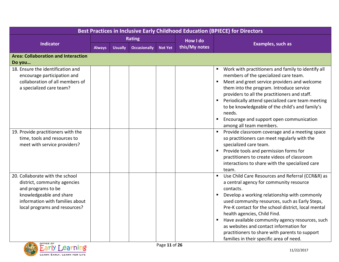| Best Practices in Inclusive Early Childhood Education (BPIECE) for Directors                                                                                                         |               |                |                     |                |                 |                                                                                                                                                                                                                                                                                                                                                                                                                                                                                                                 |  |  |  |
|--------------------------------------------------------------------------------------------------------------------------------------------------------------------------------------|---------------|----------------|---------------------|----------------|-----------------|-----------------------------------------------------------------------------------------------------------------------------------------------------------------------------------------------------------------------------------------------------------------------------------------------------------------------------------------------------------------------------------------------------------------------------------------------------------------------------------------------------------------|--|--|--|
|                                                                                                                                                                                      | <b>Rating</b> |                |                     |                | <b>How I do</b> |                                                                                                                                                                                                                                                                                                                                                                                                                                                                                                                 |  |  |  |
| <b>Indicator</b>                                                                                                                                                                     | <b>Always</b> | <b>Usually</b> | <b>Occasionally</b> | <b>Not Yet</b> | this/My notes   | <b>Examples, such as</b>                                                                                                                                                                                                                                                                                                                                                                                                                                                                                        |  |  |  |
| <b>Area: Collaboration and Interaction</b><br>Do you                                                                                                                                 |               |                |                     |                |                 |                                                                                                                                                                                                                                                                                                                                                                                                                                                                                                                 |  |  |  |
| 18. Ensure the identification and<br>encourage participation and<br>collaboration of all members of<br>a specialized care team?                                                      |               |                |                     |                |                 | Work with practitioners and family to identify all<br>members of the specialized care team.<br>Meet and greet service providers and welcome<br>$\blacksquare$<br>them into the program. Introduce service<br>providers to all the practitioners and staff.<br>Periodically attend specialized care team meeting<br>to be knowledgeable of the child's and family's<br>needs.<br>Encourage and support open communication<br>among all team members.                                                             |  |  |  |
| 19. Provide practitioners with the<br>time, tools and resources to<br>meet with service providers?                                                                                   |               |                |                     |                |                 | Provide classroom coverage and a meeting space<br>so practitioners can meet regularly with the<br>specialized care team.<br>Provide tools and permission forms for<br>practitioners to create videos of classroom<br>interactions to share with the specialized care<br>team.                                                                                                                                                                                                                                   |  |  |  |
| 20. Collaborate with the school<br>district, community agencies<br>and programs to be<br>knowledgeable and share<br>information with families about<br>local programs and resources? |               |                |                     |                |                 | Use Child Care Resources and Referral (CCR&R) as<br>$\blacksquare$<br>a central agency for community resource<br>contacts.<br>Develop a working relationship with commonly<br>used community resources, such as Early Steps,<br>Pre-K contact for the school district, local mental<br>health agencies, Child Find.<br>Have available community agency resources, such<br>as websites and contact information for<br>practitioners to share with parents to support<br>families in their specific area of need. |  |  |  |

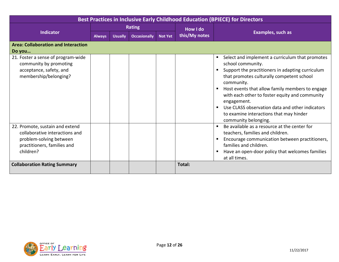| Best Practices in Inclusive Early Childhood Education (BPIECE) for Directors                                                                                                    |               |                |                     |                |                 |                                                                                                                                                                                                                                                                                                                                                                                                                               |  |  |  |
|---------------------------------------------------------------------------------------------------------------------------------------------------------------------------------|---------------|----------------|---------------------|----------------|-----------------|-------------------------------------------------------------------------------------------------------------------------------------------------------------------------------------------------------------------------------------------------------------------------------------------------------------------------------------------------------------------------------------------------------------------------------|--|--|--|
|                                                                                                                                                                                 | <b>Rating</b> |                |                     |                | <b>How I do</b> |                                                                                                                                                                                                                                                                                                                                                                                                                               |  |  |  |
| <b>Indicator</b>                                                                                                                                                                | <b>Always</b> | <b>Usually</b> | <b>Occasionally</b> | <b>Not Yet</b> | this/My notes   | Examples, such as                                                                                                                                                                                                                                                                                                                                                                                                             |  |  |  |
| <b>Area: Collaboration and Interaction</b>                                                                                                                                      |               |                |                     |                |                 |                                                                                                                                                                                                                                                                                                                                                                                                                               |  |  |  |
| Do you                                                                                                                                                                          |               |                |                     |                |                 |                                                                                                                                                                                                                                                                                                                                                                                                                               |  |  |  |
| 21. Foster a sense of program-wide<br>community by promoting<br>acceptance, safety, and<br>membership/belonging?                                                                |               |                |                     |                |                 | Select and implement a curriculum that promotes<br>school community.<br>Support the practitioners in adapting curriculum<br>that promotes culturally competent school<br>community.<br>Host events that allow family members to engage<br>with each other to foster equity and community<br>engagement.<br>Use CLASS observation data and other indicators<br>to examine interactions that may hinder<br>community belonging. |  |  |  |
| 22. Promote, sustain and extend<br>collaborative interactions and<br>problem-solving between<br>practitioners, families and<br>children?<br><b>Collaboration Rating Summary</b> |               |                |                     |                | Total:          | Be available as a resource at the center for<br>$\blacksquare$<br>teachers, families and children.<br>Encourage communication between practitioners,<br>families and children.<br>Have an open-door policy that welcomes families<br>at all times.                                                                                                                                                                            |  |  |  |
|                                                                                                                                                                                 |               |                |                     |                |                 |                                                                                                                                                                                                                                                                                                                                                                                                                               |  |  |  |

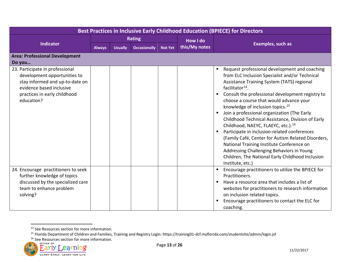<span id="page-12-2"></span><span id="page-12-1"></span><span id="page-12-0"></span>

| Best Practices in Inclusive Early Childhood Education (BPIECE) for Directors                                                                                                 |               |                |                     |                |                 |                                                                                                                                                                                                                                                                                                                                                                                                                                                                                                                                                                                                                                                                                                                                                                                                                      |  |  |
|------------------------------------------------------------------------------------------------------------------------------------------------------------------------------|---------------|----------------|---------------------|----------------|-----------------|----------------------------------------------------------------------------------------------------------------------------------------------------------------------------------------------------------------------------------------------------------------------------------------------------------------------------------------------------------------------------------------------------------------------------------------------------------------------------------------------------------------------------------------------------------------------------------------------------------------------------------------------------------------------------------------------------------------------------------------------------------------------------------------------------------------------|--|--|
|                                                                                                                                                                              | <b>Rating</b> |                |                     |                | <b>How I do</b> |                                                                                                                                                                                                                                                                                                                                                                                                                                                                                                                                                                                                                                                                                                                                                                                                                      |  |  |
| Indicator                                                                                                                                                                    | <b>Always</b> | <b>Usually</b> | <b>Occasionally</b> | <b>Not Yet</b> | this/My notes   | <b>Examples, such as</b>                                                                                                                                                                                                                                                                                                                                                                                                                                                                                                                                                                                                                                                                                                                                                                                             |  |  |
| <b>Area: Professional Development</b><br>Do you                                                                                                                              |               |                |                     |                |                 |                                                                                                                                                                                                                                                                                                                                                                                                                                                                                                                                                                                                                                                                                                                                                                                                                      |  |  |
| 23. Participate in professional<br>development opportunities to<br>stay informed and up-to-date on<br>evidence based inclusive<br>practices in early childhood<br>education? |               |                |                     |                |                 | Request professional development and coaching<br>$\blacksquare$<br>from ELC Inclusion Specialist and/or Technical<br>Assistance Training System (TATS) regional<br>facilitator <sup>14</sup> .<br>Consult the professional development registry to<br>$\blacksquare$<br>choose a course that would advance your<br>knowledge of inclusion topics. <sup>15</sup><br>Join a professional organization (The Early<br>$\blacksquare$<br>Childhood Technical Assistance, Division of Early<br>Childhood, NAEYC, FLAEYC, etc.). <sup>16</sup><br>Participate in inclusion-related conferences<br>п<br>(Family Café, Center for Autism Related Disorders,<br>National Training Institute Conference on<br>Addressing Challenging Behaviors in Young<br>Children, The National Early Childhood Inclusion<br>Institute, etc.) |  |  |
| 24. Encourage practitioners to seek<br>further knowledge of topics<br>discussed by the specialized care<br>team to enhance problem<br>solving?                               |               |                |                     |                |                 | Encourage practitioners to utilize the BPIECE for<br>ш<br>Practitioners.<br>Have a resource area that includes a list of<br>$\blacksquare$<br>websites for practitioners to research information<br>on inclusion related topics.<br>Encourage practitioners to contact the ELC for<br>coaching.                                                                                                                                                                                                                                                                                                                                                                                                                                                                                                                      |  |  |

<sup>&</sup>lt;sup>16</sup> See Resources section for more information.



l

<sup>&</sup>lt;sup>14</sup> See Resources section for more information.<br><sup>15</sup> Florida Department of Children and Families, Training and Registry Login: https://training01-dcf.myflorida.com/studentsite/admin/login.jsf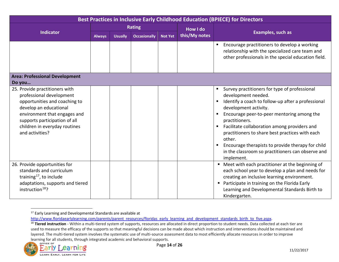<span id="page-13-1"></span><span id="page-13-0"></span>

| <b>Best Practices in Inclusive Early Childhood Education (BPIECE) for Directors</b>                                                                                                                                                        |               |                |                     |                |                 |                                                                                                                                                                                                                                                                                                                                                                                                                                                                            |  |  |
|--------------------------------------------------------------------------------------------------------------------------------------------------------------------------------------------------------------------------------------------|---------------|----------------|---------------------|----------------|-----------------|----------------------------------------------------------------------------------------------------------------------------------------------------------------------------------------------------------------------------------------------------------------------------------------------------------------------------------------------------------------------------------------------------------------------------------------------------------------------------|--|--|
|                                                                                                                                                                                                                                            | <b>Rating</b> |                |                     |                | <b>How I do</b> |                                                                                                                                                                                                                                                                                                                                                                                                                                                                            |  |  |
| <b>Indicator</b>                                                                                                                                                                                                                           | <b>Always</b> | <b>Usually</b> | <b>Occasionally</b> | <b>Not Yet</b> | this/My notes   | <b>Examples, such as</b>                                                                                                                                                                                                                                                                                                                                                                                                                                                   |  |  |
|                                                                                                                                                                                                                                            |               |                |                     |                |                 | Encourage practitioners to develop a working<br>relationship with the specialized care team and<br>other professionals in the special education field.                                                                                                                                                                                                                                                                                                                     |  |  |
| <b>Area: Professional Development</b><br>Do you                                                                                                                                                                                            |               |                |                     |                |                 |                                                                                                                                                                                                                                                                                                                                                                                                                                                                            |  |  |
| 25. Provide practitioners with<br>professional development<br>opportunities and coaching to<br>develop an educational<br>environment that engages and<br>supports participation of all<br>children in everyday routines<br>and activities? |               |                |                     |                |                 | Survey practitioners for type of professional<br>development needed.<br>Identify a coach to follow-up after a professional<br>development activity.<br>Encourage peer-to-peer mentoring among the<br>practitioners.<br>Facilitate collaboration among providers and<br>$\blacksquare$<br>practitioners to share best practices with each<br>other.<br>Encourage therapists to provide therapy for child<br>in the classroom so practitioners can observe and<br>implement. |  |  |
| 26. Provide opportunities for<br>standards and curriculum<br>training <sup>17</sup> , to include<br>adaptations, supports and tiered<br>instruction <sup>18</sup> ?                                                                        |               |                |                     |                |                 | " Meet with each practitioner at the beginning of<br>each school year to develop a plan and needs for<br>creating an inclusive learning environment.<br>Participate in training on the Florida Early<br>Learning and Developmental Standards Birth to<br>Kindergarten.                                                                                                                                                                                                     |  |  |

<sup>&</sup>lt;sup>18</sup> Tiered instruction - Within a multi-tiered system of supports, resources are allocated in direct proportion to student needs. Data collected at each tier are used to measure the efficacy of the supports so that meaningful decisions can be made about which instruction and interventions should be maintained and layered. The multi-tiered system involves the systematic use of multi-source assessment data to most efficiently allocate resources in order to improve learning for all students, through integrated academic and behavioral supports.<br>Page 1



<sup>&</sup>lt;sup>17</sup> Early Learning and Developmental Standards are available at<br>http://www.floridaearlylearning.com/parents/parent resources/floridas early learning and development standards birth to five.aspx.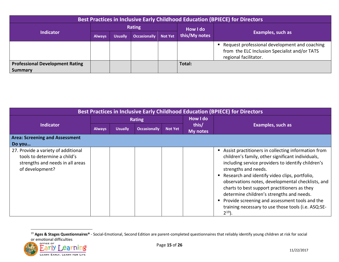<span id="page-14-0"></span>

| <b>Best Practices in Inclusive Early Childhood Education (BPIECE) for Directors</b> |               |                |                     |                |               |                                                                                                                           |  |  |
|-------------------------------------------------------------------------------------|---------------|----------------|---------------------|----------------|---------------|---------------------------------------------------------------------------------------------------------------------------|--|--|
|                                                                                     | Rating        |                |                     |                | How I do      |                                                                                                                           |  |  |
| <b>Indicator</b>                                                                    | <b>Always</b> | <b>Usually</b> | <b>Occasionally</b> | <b>Not Yet</b> | this/My notes | <b>Examples, such as</b>                                                                                                  |  |  |
|                                                                                     |               |                |                     |                |               | ■ Request professional development and coaching<br>from the ELC Inclusion Specialist and/or TATS<br>regional facilitator. |  |  |
| <b>Professional Development Rating</b>                                              |               |                |                     |                | Total:        |                                                                                                                           |  |  |
| <b>Summary</b>                                                                      |               |                |                     |                |               |                                                                                                                           |  |  |

| <b>Best Practices in Inclusive Early Childhood Education (BPIECE) for Directors</b>                                        |               |                |                     |                |                          |                                                                                                                                                                                                                                                                                                                                                                                                                                                                                                                   |  |  |
|----------------------------------------------------------------------------------------------------------------------------|---------------|----------------|---------------------|----------------|--------------------------|-------------------------------------------------------------------------------------------------------------------------------------------------------------------------------------------------------------------------------------------------------------------------------------------------------------------------------------------------------------------------------------------------------------------------------------------------------------------------------------------------------------------|--|--|
| <b>Indicator</b>                                                                                                           | <b>Rating</b> |                |                     |                | <b>How I do</b>          |                                                                                                                                                                                                                                                                                                                                                                                                                                                                                                                   |  |  |
|                                                                                                                            | <b>Always</b> | <b>Usually</b> | <b>Occasionally</b> | <b>Not Yet</b> | this/<br><b>My notes</b> | <b>Examples, such as</b>                                                                                                                                                                                                                                                                                                                                                                                                                                                                                          |  |  |
| <b>Area: Screening and Assessment</b>                                                                                      |               |                |                     |                |                          |                                                                                                                                                                                                                                                                                                                                                                                                                                                                                                                   |  |  |
| Do you                                                                                                                     |               |                |                     |                |                          |                                                                                                                                                                                                                                                                                                                                                                                                                                                                                                                   |  |  |
| 27. Provide a variety of additional<br>tools to determine a child's<br>strengths and needs in all areas<br>of development? |               |                |                     |                |                          | Assist practitioners in collecting information from<br>children's family, other significant individuals,<br>including service providers to identify children's<br>strengths and needs.<br>Research and identify video clips, portfolio,<br>observations notes, developmental checklists, and<br>charts to best support practitioners as they<br>determine children's strengths and needs.<br>Provide screening and assessment tools and the<br>training necessary to use those tools (i.e. ASQ:SE-<br>$2^{19}$ ). |  |  |

<sup>19</sup> **Ages & Stages Questionnaires®** - Social-Emotional, Second Edition are parent-completed questionnaires that reliably identify young children at risk for social

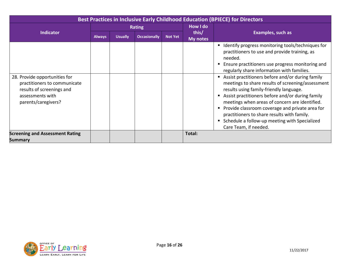| Best Practices in Inclusive Early Childhood Education (BPIECE) for Directors                                                          |               |                |                     |                |                   |                                                                                                                                                                                                                                                                                                                                                                                                                                                                                                                                                                                                                                                            |  |  |
|---------------------------------------------------------------------------------------------------------------------------------------|---------------|----------------|---------------------|----------------|-------------------|------------------------------------------------------------------------------------------------------------------------------------------------------------------------------------------------------------------------------------------------------------------------------------------------------------------------------------------------------------------------------------------------------------------------------------------------------------------------------------------------------------------------------------------------------------------------------------------------------------------------------------------------------------|--|--|
|                                                                                                                                       | <b>Rating</b> |                |                     |                | How I do          |                                                                                                                                                                                                                                                                                                                                                                                                                                                                                                                                                                                                                                                            |  |  |
| <b>Indicator</b>                                                                                                                      | <b>Always</b> | <b>Usually</b> | <b>Occasionally</b> | <b>Not Yet</b> | this/<br>My notes | <b>Examples, such as</b>                                                                                                                                                                                                                                                                                                                                                                                                                                                                                                                                                                                                                                   |  |  |
| 28. Provide opportunities for<br>practitioners to communicate<br>results of screenings and<br>assessments with<br>parents/caregivers? |               |                |                     |                |                   | Identify progress monitoring tools/techniques for<br>п<br>practitioners to use and provide training, as<br>needed.<br>Ensure practitioners use progress monitoring and<br>regularly share information with families.<br>Assist practitioners before and/or during family<br>meetings to share results of screening/assessment<br>results using family-friendly language.<br>Assist practitioners before and/or during family<br>meetings when areas of concern are identified.<br>Provide classroom coverage and private area for<br>practitioners to share results with family.<br>Schedule a follow-up meeting with Specialized<br>Care Team, if needed. |  |  |
| <b>Screening and Assessment Rating</b>                                                                                                |               |                |                     |                | Total:            |                                                                                                                                                                                                                                                                                                                                                                                                                                                                                                                                                                                                                                                            |  |  |
| <b>Summary</b>                                                                                                                        |               |                |                     |                |                   |                                                                                                                                                                                                                                                                                                                                                                                                                                                                                                                                                                                                                                                            |  |  |

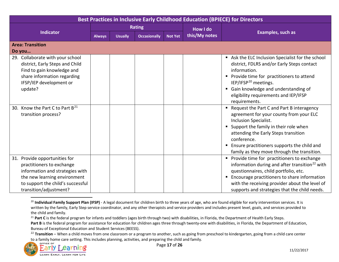<span id="page-16-2"></span><span id="page-16-1"></span><span id="page-16-0"></span>

| <b>Best Practices in Inclusive Early Childhood Education (BPIECE) for Directors</b>                                                                                                             |               |                |                     |                |               |                                                                                                                                                                                                                                                                                                                    |  |  |
|-------------------------------------------------------------------------------------------------------------------------------------------------------------------------------------------------|---------------|----------------|---------------------|----------------|---------------|--------------------------------------------------------------------------------------------------------------------------------------------------------------------------------------------------------------------------------------------------------------------------------------------------------------------|--|--|
|                                                                                                                                                                                                 | <b>Rating</b> |                |                     |                | How I do      |                                                                                                                                                                                                                                                                                                                    |  |  |
| <b>Indicator</b>                                                                                                                                                                                | <b>Always</b> | <b>Usually</b> | <b>Occasionally</b> | <b>Not Yet</b> | this/My notes | Examples, such as                                                                                                                                                                                                                                                                                                  |  |  |
| <b>Area: Transition</b>                                                                                                                                                                         |               |                |                     |                |               |                                                                                                                                                                                                                                                                                                                    |  |  |
| Do you                                                                                                                                                                                          |               |                |                     |                |               |                                                                                                                                                                                                                                                                                                                    |  |  |
| 29. Collaborate with your school<br>district, Early Steps and Child<br>Find to gain knowledge and<br>share information regarding<br>IFSP/IEP development or<br>update?                          |               |                |                     |                |               | Ask the ELC Inclusion Specialist for the school<br>district, FDLRS and/or Early Steps contact<br>information.<br>• Provide time for practitioners to attend<br>IEP/IFSP <sup>20</sup> meetings.<br>Gain knowledge and understanding of<br>٠<br>eligibility requirements and IEP/IFSP<br>requirements.              |  |  |
| 30. Know the Part C to Part B <sup>21</sup><br>transition process?                                                                                                                              |               |                |                     |                |               | " Request the Part C and Part B interagency<br>agreement for your county from your ELC<br>Inclusion Specialist.<br>Support the family in their role when<br>п<br>attending the Early Steps transition<br>conference.<br>Ensure practitioners supports the child and<br>family as they move through the transition. |  |  |
| Provide opportunities for<br>31.<br>practitioners to exchange<br>information and strategies with<br>the new learning environment<br>to support the child's successful<br>transition/adjustment? |               |                |                     |                |               | Provide time for practitioners to exchange<br>information during and after transition <sup>22</sup> with<br>questionnaires, child portfolio, etc.<br>Encourage practitioners to share information<br>п<br>with the receiving provider about the level of<br>supports and strategies that the child needs.          |  |  |

<sup>&</sup>lt;sup>20</sup> Individual Family Support Plan (IFSP) - A legal document for children birth to three years of age, who are found eligible for early intervention services. It is written by the family, Early Step service coordinator, and any other therapists and service providers and includes present level, goals, and services provided to the child and family.

to a family home care setting. This includes planning, activities, and preparing the child and family.



<sup>&</sup>lt;sup>21</sup> Part C is the federal program for infants and toddlers (ages birth through two) with disabilities, in Florida, the Department of Health Early Steps.

Part B is the federal program for assistance for education for children ages three through twenty-one with disabilities, in Florida, the Department of Education, Bureau of Exceptional Education and Student Services (BEESS).<br><sup>22</sup> Transition – When a child moves from one classroom or a program to another, such as going from preschool to kindergarten, going from a child care center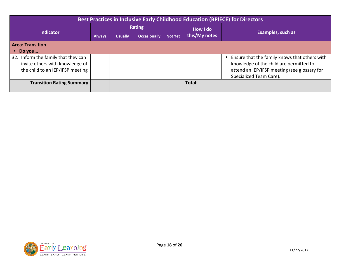| <b>Best Practices in Inclusive Early Childhood Education (BPIECE) for Directors</b> |               |                |                     |                |               |                                               |  |  |  |
|-------------------------------------------------------------------------------------|---------------|----------------|---------------------|----------------|---------------|-----------------------------------------------|--|--|--|
|                                                                                     |               |                | Rating              |                | How I do      |                                               |  |  |  |
| Indicator                                                                           | <b>Always</b> | <b>Usually</b> | <b>Occasionally</b> | <b>Not Yet</b> | this/My notes | Examples, such as                             |  |  |  |
| <b>Area: Transition</b>                                                             |               |                |                     |                |               |                                               |  |  |  |
| Do you<br>m.                                                                        |               |                |                     |                |               |                                               |  |  |  |
| 32. Inform the family that they can                                                 |               |                |                     |                |               | Ensure that the family knows that others with |  |  |  |
| invite others with knowledge of                                                     |               |                |                     |                |               | knowledge of the child are permitted to       |  |  |  |
| the child to an IEP/IFSP meeting                                                    |               |                |                     |                |               | attend an IEP/IFSP meeting (see glossary for  |  |  |  |
|                                                                                     |               |                |                     |                |               | Specialized Team Care).                       |  |  |  |
| <b>Transition Rating Summary</b>                                                    |               |                |                     |                | Total:        |                                               |  |  |  |
|                                                                                     |               |                |                     |                |               |                                               |  |  |  |

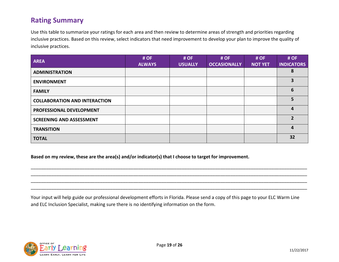# **Rating Summary**

Use this table to summarize your ratings for each area and then review to determine areas of strength and priorities regarding inclusive practices. Based on this review, select indicators that need improvement to develop your plan to improve the quality of inclusive practices.

| <b>AREA</b>                          | # OF<br><b>ALWAYS</b> | # OF<br><b>USUALLY</b> | # OF<br><b>OCCASIONALLY</b> | # OF<br><b>NOT YET</b> | # OF<br><b>INDICATORS</b> |
|--------------------------------------|-----------------------|------------------------|-----------------------------|------------------------|---------------------------|
| <b>ADMINISTRATION</b>                |                       |                        |                             |                        | 8                         |
| <b>ENVIRONMENT</b>                   |                       |                        |                             |                        | 3                         |
| <b>FAMILY</b>                        |                       |                        |                             |                        | 6                         |
| <b>COLLABORATION AND INTERACTION</b> |                       |                        |                             |                        | 5                         |
| PROFESSIONAL DEVELOPMENT             |                       |                        |                             |                        | 4                         |
| <b>SCREENING AND ASSESSMENT</b>      |                       |                        |                             |                        | $\overline{2}$            |
| <b>TRANSITION</b>                    |                       |                        |                             |                        | 4                         |
| <b>TOTAL</b>                         |                       |                        |                             |                        | 32                        |

**Based on my review, these are the area(s) and/or indicator(s) that I choose to target for improvement.** 

Your input will help guide our professional development efforts in Florida. Please send a copy of this page to your ELC Warm Line and ELC Inclusion Specialist, making sure there is no identifying information on the form.

\_\_\_\_\_\_\_\_\_\_\_\_\_\_\_\_\_\_\_\_\_\_\_\_\_\_\_\_\_\_\_\_\_\_\_\_\_\_\_\_\_\_\_\_\_\_\_\_\_\_\_\_\_\_\_\_\_\_\_\_\_\_\_\_\_\_\_\_\_\_\_\_\_\_\_\_\_\_\_\_\_\_\_\_\_\_\_\_\_\_\_\_\_\_\_\_\_\_\_\_\_\_\_\_\_\_\_\_ \_\_\_\_\_\_\_\_\_\_\_\_\_\_\_\_\_\_\_\_\_\_\_\_\_\_\_\_\_\_\_\_\_\_\_\_\_\_\_\_\_\_\_\_\_\_\_\_\_\_\_\_\_\_\_\_\_\_\_\_\_\_\_\_\_\_\_\_\_\_\_\_\_\_\_\_\_\_\_\_\_\_\_\_\_\_\_\_\_\_\_\_\_\_\_\_\_\_\_\_\_\_\_\_\_\_\_\_ \_\_\_\_\_\_\_\_\_\_\_\_\_\_\_\_\_\_\_\_\_\_\_\_\_\_\_\_\_\_\_\_\_\_\_\_\_\_\_\_\_\_\_\_\_\_\_\_\_\_\_\_\_\_\_\_\_\_\_\_\_\_\_\_\_\_\_\_\_\_\_\_\_\_\_\_\_\_\_\_\_\_\_\_\_\_\_\_\_\_\_\_\_\_\_\_\_\_\_\_\_\_\_\_\_\_\_\_ \_\_\_\_\_\_\_\_\_\_\_\_\_\_\_\_\_\_\_\_\_\_\_\_\_\_\_\_\_\_\_\_\_\_\_\_\_\_\_\_\_\_\_\_\_\_\_\_\_\_\_\_\_\_\_\_\_\_\_\_\_\_\_\_\_\_\_\_\_\_\_\_\_\_\_\_\_\_\_\_\_\_\_\_\_\_\_\_\_\_\_\_\_\_\_\_\_\_\_\_\_\_\_\_\_\_\_\_

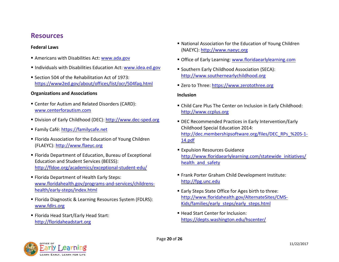# **Resources**

- 
- Individuals with Disabilities Education Act: [www.idea.ed.gov](http://www.idea.ed.gov/) Southern Early Childhood Association (SECA):
- **Example 1980** Section 504 of the Rehabilitation Act of 1973: Section 504 of the Rehabilitation Act of 1973: <https://www2ed.gov/about/offices/list/ocr/504faq.html> <br> **Exero to Three: https://www.zerotothree.org**

### **Organizations and Associations Inclusion**

- Center for Autism and Related Disorders (CARD): Child Care Plus The Center on Inclusion in Early Childhood: [www.centerforautism.com](http://www.centerforautism.com/) [http://www.ccplus.org](http://www.ccplus.org/)
- Division of Early Childhood (DEC): [http://www.dec-sped.org](http://www.dec-sped.org/) DEC Recommended Practices in Early Intervention/Early
- 
- Florida Association for the Education of Young Children [14.pdf](http://dec.membershipsoftware.org/files/DEC_RPs_%205-1-14.pdf) (FLAEYC): http://www.flaeyc.org
- Education and Student Services (BEESS):<br>http://fldoe.org/academics/exceptional-student-edu/
- Frank Porter Graham Child Development Institute:<br>www.floridahealth.gov/programs-and-services/childrens-<br>[http://fpg.unc.edu](http://fpg.unc.edu/) http://fpg.unc.edu [health/early-steps/index.html](http://www.floridahealth.gov/programs-and-services/childrens-health/early-steps/index.html) **Early Steps State Office for Ages birth to three:**
- Florida Diagnostic & Learning Resources System (FDLRS): [http://www.floridahealth.gov/AlternateSites/CMS-](http://www.floridahealth.gov/AlternateSites/CMS-Kids/families/early_steps/early_steps.html)<br>www.fdlrs.org<br>Www.fdlrs.org
- <https://depts.washington.edu/hscenter/> [http://floridaheadstart.org](http://floridaheadstart.org/)
- National Association for the Education of Young Children **Federal Laws** (NAEYC): [http://www.naeyc.org](http://www.naeyc.org/)
- Americans with Disabilities Act: [www.ada.gov](http://www.ada.gov/) **Come Contract Contract Contract Contract** Portice of Early Learning: www.floridaearlylearning.com
	-
	-

- 
- Family Café: [https://familycafe.net](https://familycafe.net/) https://dec.membershipsoftware.org/files/DEC\_RPs\_%205-1-<br>[http://dec.membershipsoftware.org/files/DEC\\_RPs\\_%205-1-](http://dec.membershipsoftware.org/files/DEC_RPs_%205-1-14.pdf)
- Expulsion Resources Guidance<br>Florida Department of Education, Bureau of Exceptional **Expulsion Resources Guidance** Florida Department of Education, Bureau of Exceptional [http://www.floridaearlylearning.com/statewide\\_initiatives/](http://www.floridaearlylearning.com/statewide_initiatives/health_and_safety)<br>Education and Student Services (BEESS):
	-
	-
- Florida Head Start/Early Head Start: Network Management Management Management Management Management Management Management Management Management Management Management Management Management Management Management Managemen

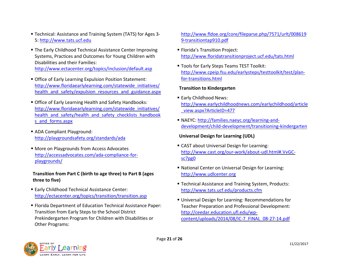- Technical: Assistance and Training System (TATS) for Ages 3- [http://www.fldoe.org/core/fileparse.php/7571/urlt/008619](http://www.fldoe.org/core/fileparse.php/7571/urlt/0086199-transitiontap910.pdf) 5: [http://www.tats.ucf.edu](http://www.tats.ucf.edu/) [9-transitiontap910.pdf](http://www.fldoe.org/core/fileparse.php/7571/urlt/0086199-transitiontap910.pdf)
- **The Early Childhood Technical Assistance Center Improving Figure 1 Florida's Transition Project:** Systems, Practices and Outcomes for Young Children with <http://www.floridatransitionproject.ucf.edu/tats.html>

- Office of Early Learning Expulsion Position Statement: [for-transitions.html](http://www.cpeip.fsu.edu/earlysteps/testtoolkit/test/plan-for-transitions.html) [http://www.floridaearlylearning.com/statewide\\_initiatives/](http://www.floridaearlylearning.com/statewide_initiatives/health_and_safety/expulsion_resources_and_guidance.aspx) **Transition to Kindergarten** [health\\_and\\_safety/expulsion\\_resources\\_and\\_guidance.aspx](http://www.floridaearlylearning.com/statewide_initiatives/health_and_safety/expulsion_resources_and_guidance.aspx)
- Early Childhood News:<br>
Office of Early Learning Health and Safety Handbooks:<br> [http://www.earlychildhoodnews.com/earlychildhood/article](http://www.earlychildhoodnews.com/earlychildhood/article_view.aspx?ArticleID=477)<br>
health and safety/health and safety checklists handbook<br>
health and safety/health a [s\\_and\\_forms.aspx](http://www.floridaearlylearning.com/statewide_initiatives/health_and_safety/health_and_safety_checklists_handbooks_and_forms.aspx) NAEYC: [http://families.naeyc.org/learning-and-](http://families.naeyc.org/learning-and-development/child-development/transitioning-kindergarten)
- ADA Compliant Playground: <http://playgroundsafety.org/standards/ada> **Universal Design for Learning (UDL)**
- 

## **Transition from Part C (birth to age three) to Part B (ages** [http://www.udlcenter.org](http://www.udlcenter.org/)  **three to five) three to five**) **Technical Assistance and Training System, Products:**

- Early Childhood Technical Assistance Center: http://www.tats.ucf.edu/products.cfm <http://ectacenter.org/topics/transition/transition.asp> Universal Design for Learning: Recommendations for
- Florida Department of Education Technical Assistance Paper: Teacher Preparation and Professional Development: Transition from Early Steps to the School District [http://ceedar.education.ufl.edu/wp-](http://ceedar.education.ufl.edu/wp-content/uploads/2014/08/IC-7_FINAL_08-27-14.pdf)Prekindergarten Program for Children with Disabilities or content/uploads/2014/08/IC-7\_FINAL\_08-27-14.pdf Other Programs:

- 
- Disabilities and their Families: **Interpreties and their Families: Interpreties and their Families:** [http://www.cpeip.fsu.edu/earlysteps/testtoolkit/test/plan-](http://www.cpeip.fsu.edu/earlysteps/testtoolkit/test/plan-for-transitions.html)<br>http://www.cpeip.fsu.edu/earlysteps/testtoolkit/test/plan-

- 
- [development/child-development/transitioning-kindergarten](http://families.naeyc.org/learning-and-development/child-development/transitioning-kindergarten)

- More on Playgrounds from Access Advocates **about Example 1998** CAST about Universal Design for Learning:<br> [http://www.cast.org/our-work/about-udl.html#.VvGC-](http://www.cast.org/our-work/about-udl.html#.VvGC-sc7pg0)<br>
<u>playgrounds/</u> playgrounds/
	- National Center on Universal Design for Learning:
	-
	-

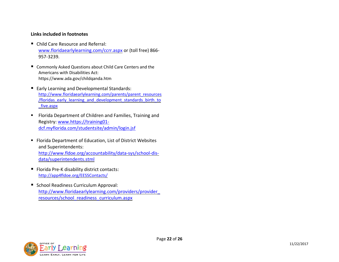### **Links included in footnotes**

- Child Care Resource and Referral: [www.floridaearlylearning.com/ccrr.aspx](http://www.floridaearlylearning.com/ccrr.aspx) or (toll free) 866- 957-3239.
- Commonly Asked Questions about Child Care Centers and the Americans with Disabilities Act: https://www.ada.gov/childqanda.htm
- Early Learning and Developmental Standards: [http://www.floridaearlylearning.com/parents/parent\\_resources](http://www.floridaearlylearning.com/parents/parent_resources/floridas_early_learning_and_development_standards_birth_to_five.aspx) [/floridas\\_early\\_learning\\_and\\_development\\_standards\\_birth\\_to](http://www.floridaearlylearning.com/parents/parent_resources/floridas_early_learning_and_development_standards_birth_to_five.aspx) [\\_five.aspx](http://www.floridaearlylearning.com/parents/parent_resources/floridas_early_learning_and_development_standards_birth_to_five.aspx)
- **FIOLT** Florida Department of Children and Families, Training and Registry: [www.https://training01](http://www.https/training01-dcf.myflorida.com/studentsite/admin/login.jsf) [dcf.myflorida.com/studentsite/admin/login.jsf](http://www.https/training01-dcf.myflorida.com/studentsite/admin/login.jsf)
- Florida Department of Education, List of District Websites and Superintendents: [http://www.fldoe.org/accountability/data-sys/school-dis](http://www.fldoe.org/accountability/data-sys/school-dis-data/superintendents.stml)[data/superintendents.stml](http://www.fldoe.org/accountability/data-sys/school-dis-data/superintendents.stml)
- Florida Pre-K disability district contacts: <http://app4fldoe.org/EESSContacts/>
- School Readiness Curriculum Approval: [http://www.floridaearlylearning.com/providers/provider\\_](http://www.floridaearlylearning.com/providers/provider_resources/school_readiness_curriculum.aspx) [resources/school\\_readiness\\_curriculum.aspx](http://www.floridaearlylearning.com/providers/provider_resources/school_readiness_curriculum.aspx)

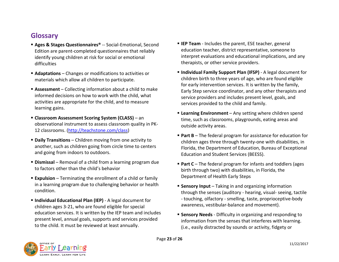# **Glossary**

- Edition are parent-completed questionnaires that reliably difficulties difficulties therapists, or other service providers.
- 
- activities are appropriate for the child, and to measure services provided to the child and family.<br>learning gains.
- observational instrument to assess classroom quality in PK-<br>outside activity areas. 12 classrooms. [\(http://teachstone.com/class\)](http://teachstone.com/class)
- 
- **Dismissal** Removal of a child from a learning program due  **Part C** The federal program for infants and toddlers (ages<br>to factors other than the child's behavior
- **Expulsion** Terminating the enrollment of a child or family **Expulsion** Department of Health Early Steps in a learning program due to challenging behavior or health **Sensory Input** – Taking in and organizing information
- children ages 3-21, who are found eligible for special education services. It is written by the IEP team and includes **Sensory Needs** - Difficulty in organizing and responding to present level, annual goals, supports and services provided information from the senses that interferes with learning.<br>to the child. It must be reviewed at least annually.
- **Ages & Stages Questionnaires®** -- Social-Emotional, Second **IEP Team** Includes the parent, ESE teacher, general<br>Fregges are parent-completed questionnaires that reliably education teacher, district representative, so identify young children at risk for social or emotional interpret evaluations and educational implications, and any
- **Adaptations** Changes or modifications to activities or **Individual Family Support Plan (IFSP)** A legal document for materials which allow all children to participate.<br>for early intervention services. It is written by the family,<br>for early intervention services. It is written by the family, **Exament** – Collecting information about a child to make<br>informed decisions on how to work with the child, what<br>convice providers and includes present level, goals, and service providers and includes present level, goals, and
- **Learning Environment** Any setting where children spend **Classroom Assessment Scoring System (CLASS)** an time, such as classrooms, playgrounds, eating areas and
- **Part B** The federal program for assistance for education for **Part B** The federal program for assistance for education for<br>children ages three through twenty-one with disabilities, in<br>Florida the Department of Educati another, such as children going from circle time to centers Florida, the Department of Education, Bureau of Exceptional<br>Figures and going from indoors to outdoors. Education and Student Services (BEESS).
	- birth through two) with disabilities, in Florida, the
- through the senses (auditory hearing, visual- seeing, tactile **Individual Educational Plan (IEP)** - A legal document for - touching, olfactory - smelling, taste, proprioceptive-body<br>
children ages 3-21, who are found eligible for special awareness, vestibular-balance and movement).
	- (i.e., easily distracted by sounds or activity, fidgety or

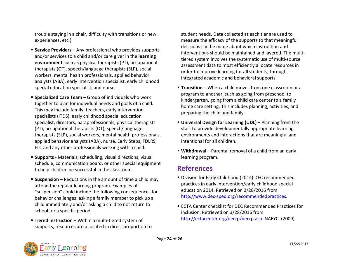trouble staying in a chair, difficulty with transitions or new student needs. Data collected at each tier are used to experiences, etc.). measure the efficacy of the supports to that meaningful

- Service Providers Any professional who provides supports<br>
and/or services to a child and/or care giver in the **learning**<br> **environment** such as physical therapists (PT), occupational<br>
therapists (OT), speech/language special education specialist, and nurse. **Transition** – When a child moves from one classroom or a
- **Specialized Care Team** Group of individuals who work<br>together to plan for individual needs and goals of a child.<br>This may include family, teachers, early intervention<br>specialists (ITDS), early childhood special educat specialist, directors, paraprofessionals, physical therapists **Universal Design for Learning (UDL)** – Planning from the (PT), occupational therapists (OT), speech/language start to provide developmentally appropriate learning therapists (SLP), social workers, mental health professionals, environments and interactions that are meaningful and applied behavior analysts (ABA), nurse, Early Steps, FDLRS, intentional for all children. ELC and any other professionals working with a child. **Withdrawal** – Parental removal of a child from an early
- **Supports** Materials, scheduling, visual directions, visual **interpretent in the learning program.** schedule, communication board, or other special equipment to help children be successful in the classroom. **References**
- attend the regular learning program. Examples of practices in early intervention/early childhood<br>"suspension" could include the following consequences for education 2014. Retrieved on 3/28/2016 from suspension" could include the following consequences for education 2014. Retrieved on 3/28/2016 from<br>http://www.dec-sped.org/recommendedpractices. behavior challenges: asking a family member to pick up a child immediately and/or asking a child to not return to **ECTA Center checklist for DEC Recommended Practices for**<br>
school for a specific period.<br>
inclusion Retrieved on 3/28/2016 from
- supports, resources are allocated in direct proportion to

- 
- 
- 

- **Suspension** Reductions in the amount of time a child may **F** Division for Early Childhood (2014) DEC recommended<br>practices in early intervention/early childhood special
- inclusion. Retrieved on 3/28/2016 from **Tiered Instruction** – Within a multi-tiered system of **Engineeration** http://ectacenter.org/decrp/decrp.asp. NAEYC. (2009).

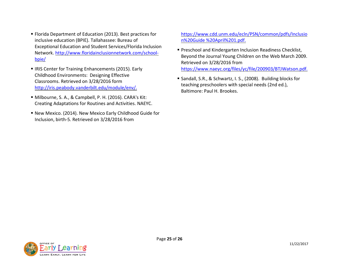- Florida Department of Education (2013). Best practices for [https://www.cdd.unm.edu/ecln/PSN/common/pdfs/Inclusio](https://www.cdd.unm.edu/ecln/PSN/common/pdfs/Inclusion%20Guide%20April%201.pdf) inclusive education (BPIE). Tallahassee: Bureau of n%20Guide %20April%201.pdf.
- 
- Milbourne, S. A., & Campbell, P. H. (2016). CARA's Kit: Creating Adaptations for Routines and Activities. NAEYC.
- New Mexico. (2014). New Mexico Early Childhood Guide for Inclusion, birth-5. Retrieved on 3/28/2016 from

- Exceptional Education and Student Services/Florida Inclusion<br>Network. [http://www.floridainclusionnetwork.com/school-](http://www.floridainclusionnetwork.com/school-bpie/)<br>Beyond the Journal Young Children on the Web March 2009.<br>Retrieved on 3/28/2016 from ■ IRIS Center for Training Enhancements (2015). Early https://www.naeyc.org/files/yc/file/200903/BTJWatson.pdf.
	- Childhood Environments: Designing Effective<br>Classrooms. Retrieved on 3/28/2016 form **and the set of the set of the set of the set of the set of teaching** preschoolers with special needs (2nd ed.),<br>http://iris.peabody.vande